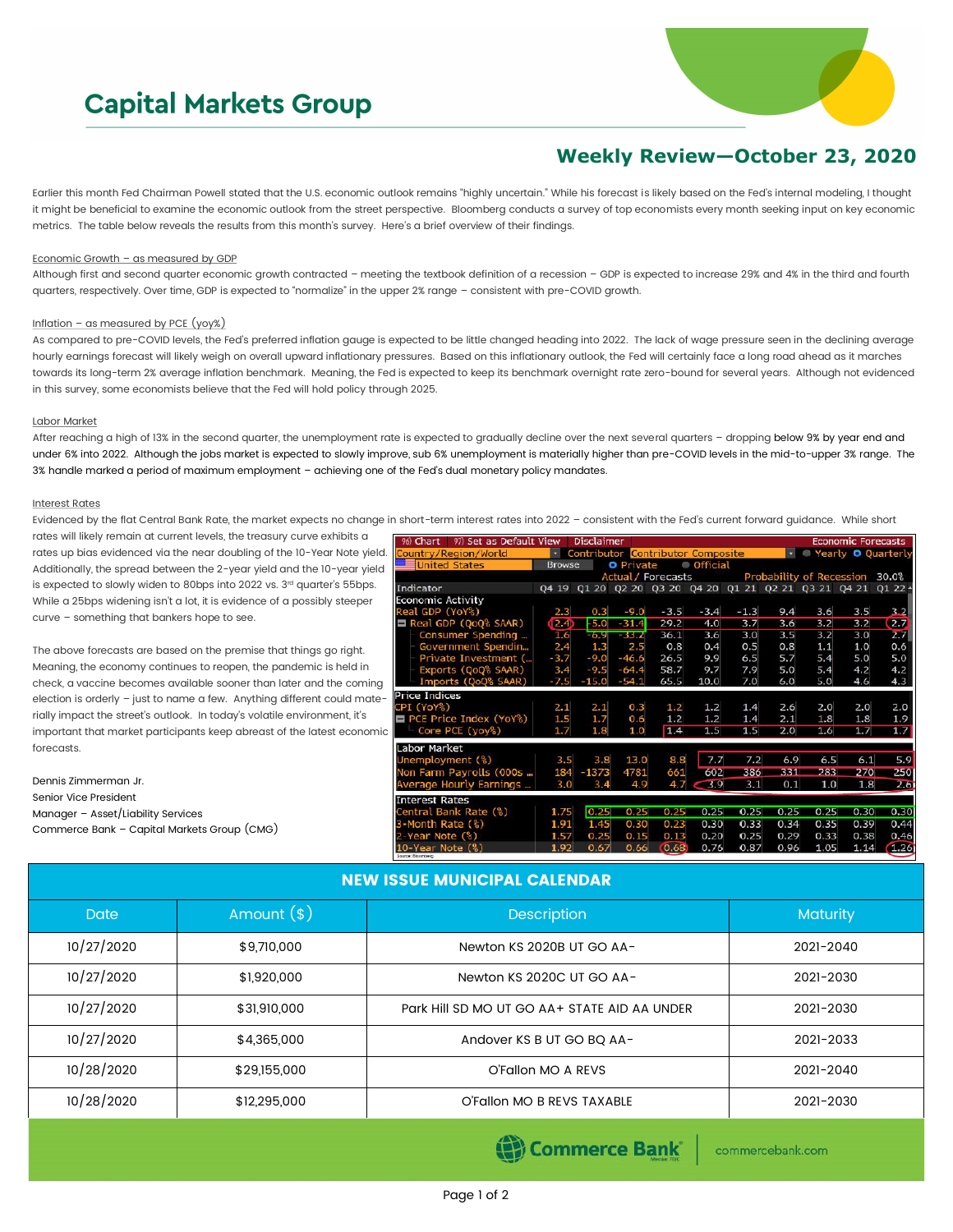# **Capital Markets Group**



## **Weekly Review—October 23, 2020**

Earlier this month Fed Chairman Powell stated that the U.S. economic outlook remains "highly uncertain." While his forecast is likely based on the Fed's internal modeling, I thought it might be beneficial to examine the economic outlook from the street perspective. Bloomberg conducts a survey of top economists every month seeking input on key economic metrics. The table below reveals the results from this month's survey. Here's a brief overview of their findings.

#### Economic Growth – as measured by GDP

Although first and second quarter economic growth contracted – meeting the textbook definition of a recession – GDP is expected to increase 29% and 4% in the third and fourth quarters, respectively. Over time, GDP is expected to "normalize" in the upper 2% range – consistent with pre-COVID growth.

#### Inflation – as measured by PCE  $(yoy%)$

As compared to pre-COVID levels, the Fed's preferred inflation gauge is expected to be little changed heading into 2022. The lack of wage pressure seen in the declining average hourly earnings forecast will likely weigh on overall upward inflationary pressures. Based on this inflationary outlook, the Fed will certainly face a long road ahead as it marches towards its long-term 2% average inflation benchmark. Meaning, the Fed is expected to keep its benchmark overnight rate zero-bound for several years. Although not evidenced in this survey, some economists believe that the Fed will hold policy through 2025.

#### Labor Market

After reaching a high of 13% in the second quarter, the unemployment rate is expected to gradually decline over the next several quarters - dropping below 9% by year end and under 6% into 2022. Although the jobs market is expected to slowly improve, sub 6% unemployment is materially higher than pre-COVID levels in the mid-to-upper 3% range. The 3% handle marked a period of maximum employment – achieving one of the Fed's dual monetary policy mandates.

#### Interest Rates

Evidenced by the flat Central Bank Rate, the market expects no change in short-term interest rates into 2022 – consistent with the Fed's current forward guidance. While short

rates will likely remain at current levels, the treasury curve exhibits a rates up bias evidenced via the near doubling of the 10-Year Note yield. Additionally, the spread between the 2-year yield and the 10-year yield is expected to slowly widen to 80bps into 2022 vs. 3rd quarter's 55bps. While a 25bps widening isn't a lot, it is evidence of a possibly steeper curve – something that bankers hope to see.

The above forecasts are based on the premise that things go right. Meaning, the economy continues to reopen, the pandemic is held in check, a vaccine becomes available sooner than later and the coming election is orderly – just to name a few. Anything different could materially impact the street's outlook. In today's volatile environment, it's important that market participants keep abreast of the latest economic forecasts.

| Dennis Zimmerman Jr.                        |
|---------------------------------------------|
| Senior Vice President                       |
| Manager - Asset/Liability Services          |
| Commerce Bank - Capital Markets Group (CMG) |

| 97) Set as Default View<br>Disclaimer<br>96) Chart |               |         |                  |                                          |                 |                                                 | <b>Economic Forecasts</b> |                          |      |                    |
|----------------------------------------------------|---------------|---------|------------------|------------------------------------------|-----------------|-------------------------------------------------|---------------------------|--------------------------|------|--------------------|
| Country/Region/World                               | Ψ             |         |                  | <b>Contributor Contributor Composite</b> |                 |                                                 |                           | 0                        |      | Yearly O Quarterly |
| <b>United States</b>                               | <b>Browse</b> |         | <b>O</b> Private |                                          | <b>Official</b> |                                                 |                           |                          |      |                    |
|                                                    |               |         |                  | <b>Actual / Forecasts</b>                |                 |                                                 |                           | Probability of Recession |      | 30.0%              |
| Indicator                                          | 04 19         |         |                  |                                          |                 | Q1 20 Q2 20 Q3 20 Q4 20 Q1 21 Q2 21 Q3 21 Q4 21 |                           |                          |      | $Q122 -$           |
| <b>Economic Activity</b>                           |               |         |                  |                                          |                 |                                                 |                           |                          |      |                    |
| Real GDP (YoY%)                                    | 2.3           | 0.3     | $-9.0$           | $-3.5$                                   | $-3.4$          | $-1.3$                                          | 9.4                       | 3.6                      | 3.5  | 3.2                |
| Real GDP (QoQ% SAAR)                               | (2.4)         | $-5.0$  | $-31.4$          | 29.2                                     | 4.0             | 3.7                                             | 3.6                       | 3.2                      | 3.2  | 2.7                |
| Consumer Spending                                  | 1.6           | $-6.9$  | $-33.2$          | 36.1                                     | 3.6             | 3.0                                             | 3.5                       | 3.2                      | 3.0  | 2.7                |
| Government Spendin                                 | 2.4           | 1,3     | 2.5              | 0.8                                      | 0.4             | 0.5                                             | 0.8                       | 1.1                      | 1.0  | 0.6                |
| Private Investment (                               | $-3.7$        | $-9.0$  | $-46.6$          | 26.5                                     | 9.9             | 6.5                                             | 5.7                       | 5.4                      | 5.0  | 5.0                |
| Exports (QoQ% SAAR)                                | 3.4           | $-9.5$  | $-64.4$          | 58.7                                     | 9.7             | 7.9                                             | 5.0                       | 5.4                      | 4.2  | 4.2                |
| Imports (QoQ% SAAR)                                | $-7.5$        | $-15.0$ | $-54.1$          | 65.5                                     | 10.0            | 7.0                                             | 6.0                       | 5.0                      | 4.6  | 4.3                |
| <b>Price Indices</b>                               |               |         |                  |                                          |                 |                                                 |                           |                          |      |                    |
| CPI (YoY%)                                         | 2.1           | 2.1     | 0.3              | 1.2                                      | 1.2             | 1.4                                             | 2.6                       | 2.0                      | 2.0  | 2,0                |
| <b>PCE Price Index (YoY%)</b>                      | 1.5           | 1.7     | 0.6              | 1.2                                      | 1.2             | 1.4                                             | 2.1                       | 1.8                      | 1.8  | 1.9                |
| Core PCE (yoy%)                                    | 1.7           | 1.8     | 1.0              | 1.4                                      | 1.5             | 1.5                                             | 2,0                       | 1.6                      | 1.7  | 1.7                |
| Labor Market                                       |               |         |                  |                                          |                 |                                                 |                           |                          |      |                    |
| Unemployment (%)                                   | 3.5           | 3.8     | 13.0             | 8.8                                      | 7.7             | 7.2                                             | 6.9                       | 6.5                      | 6.1  | 5.9                |
| Non Farm Payrolls (000s                            | 184           | $-1373$ | 4781             | 661                                      | 602             | 386                                             | 331                       | 283                      | 270  | 250                |
| Average Hourly Earnings                            | 3.0           | 3.4     | 4.9              | 4.7                                      | $-3.9$          | 3.1                                             | 0.1                       | 1.0                      | 1.8  | 2.61               |
| <b>Interest Rates</b>                              |               |         |                  |                                          |                 |                                                 |                           |                          |      |                    |
| Central Bank Rate (%)                              | 1.75          | 0.25    | 0.25             | 0.25                                     | 0.25            | 0.25                                            | 0.25                      | 0.25                     | 0,30 | 0.30               |
| 3-Month Rate (%)                                   | 1.91          | 1.45    | 0.30             | 0.23                                     | 0.30            | 0.33                                            | 0.34                      | 0.35                     | 0.39 | 0.44               |
| 2-Year Note (%)                                    | 1.57          | 0.25    | 0.15             | 0.13                                     | 0.20            | 0.25                                            | 0.29                      | 0.33                     | 0.38 | 0.46               |
| 10-Year Note (%)<br>Source: Bloombarg              | 1.92          | 0.67    | 0.66             | 0.68                                     | 0.76            | 0.87                                            | 0.96                      | 1.05                     | 1.14 | (1.26)             |

### NEW ISSUE MUNICIPAL CALENDAR

| <b>Date</b> | Amount $(*)$ | <b>Description</b>                           | <b>Maturity</b> |
|-------------|--------------|----------------------------------------------|-----------------|
| 10/27/2020  | \$9,710,000  | Newton KS 2020B UT GO AA-                    | 2021-2040       |
| 10/27/2020  | \$1,920,000  | Newton KS 2020C UT GO AA-                    | 2021-2030       |
| 10/27/2020  | \$31,910,000 | Park Hill SD MO UT GO AA+ STATE AID AA UNDER | 2021-2030       |
| 10/27/2020  | \$4,365,000  | Andover KS B UT GO BQ AA-                    | 2021-2033       |
| 10/28/2020  | \$29,155,000 | O'Fallon MO A REVS                           | 2021-2040       |
| 10/28/2020  | \$12,295,000 | O'Fallon MO B REVS TAXABLE                   | 2021-2030       |

Commerce Bank

commercebank.com